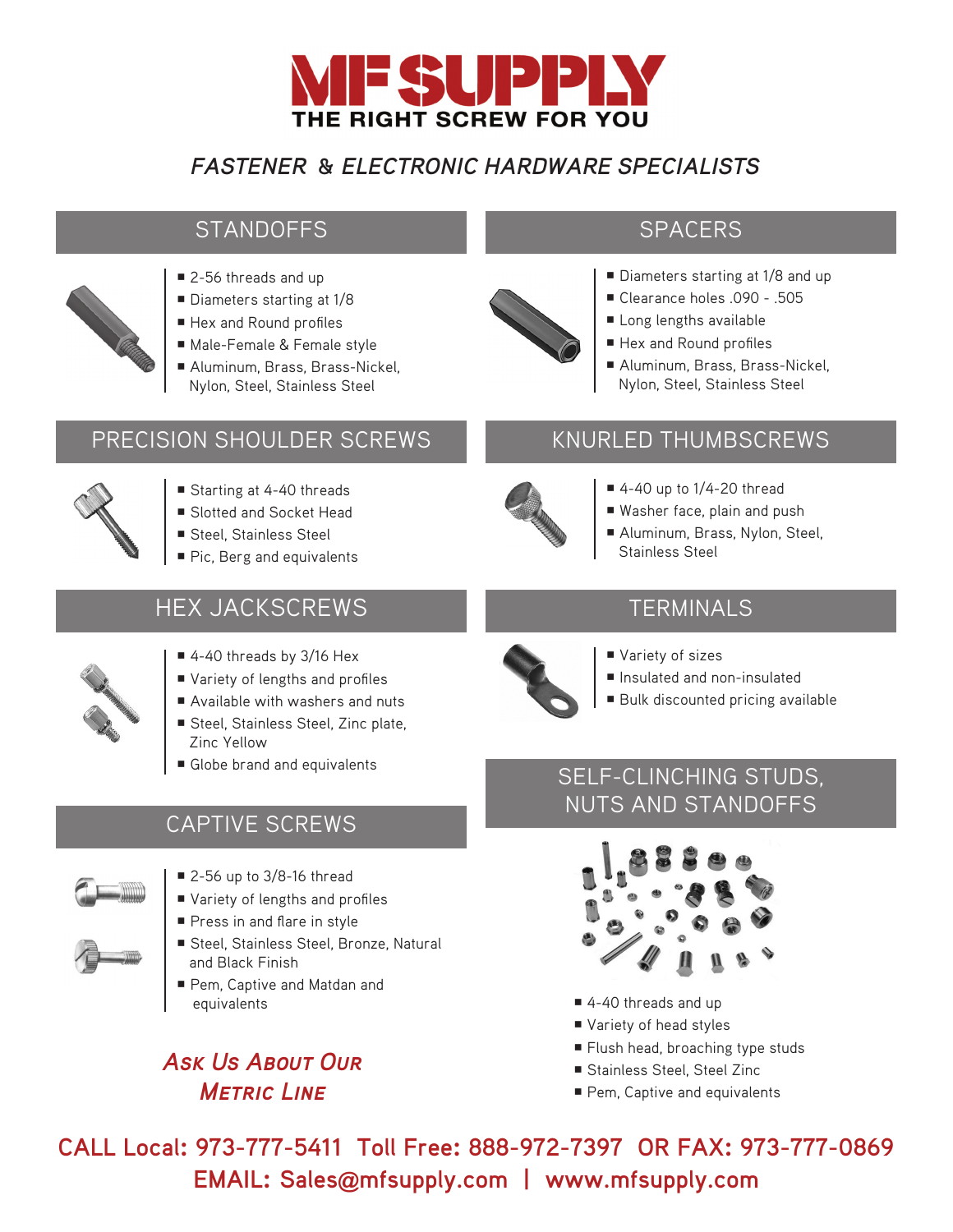

## *FASTENER* **&** *ELECTRONIC HARDWARE SPECIALISTS*

### STANDOFFS SPACERS

- 
- 2-56 threads and up
- Diameters starting at 1/8
- Hex and Round profiles
- Male-Female & Female style
- Aluminum, Brass, Brass-Nickel, Nylon, Steel, Stainless Steel

#### PRECISION SHOULDER SCREWS



- Starting at 4-40 threads
- Slotted and Socket Head
- Steel, Stainless Steel
- Pic, Berg and equivalents

## HEX JACKSCREWS



- 4-40 threads by 3/16 Hex
- Variety of lengths and profiles
- Available with washers and nuts
- Steel, Stainless Steel, Zinc plate, Zinc Yellow
- Globe brand and equivalents

#### CAPTIVE SCREWS

- 
- 2-56 up to 3/8-16 thread
- Variety of lengths and profiles
- Press in and flare in style
- Steel, Stainless Steel, Bronze, Natural and Black Finish
- Pem, Captive and Matdan and equivalents

# *Ask Us About Our Metric Line*



- Diameters starting at 1/8 and up
- Clearance holes .090 .505
- Long lengths available
- Hex and Round profiles
- Aluminum, Brass, Brass-Nickel, Nylon, Steel, Stainless Steel

#### KNURLED THUMBSCREWS

- $\blacksquare$  4-40 up to 1/4-20 thread
- Washer face, plain and push
- Aluminum, Brass, Nylon, Steel, Stainless Steel

### **TERMINALS**



- Variety of sizes
- Insulated and non-insulated
- Bulk discounted pricing available

### SELF-CLINCHING STUDS, NUTS AND STANDOFFS



- 4-40 threads and up
- Variety of head styles
- Flush head, broaching type studs
- Stainless Steel, Steel Zinc
- Pem, Captive and equivalents

**CALL Local: 973-777-5411 Toll Free: 888-972-7397 OR FAX: 973-777-0869 EMAIL: Sales@mfsupply.com | www.mfsupply.com**

- 
- - - -
			-